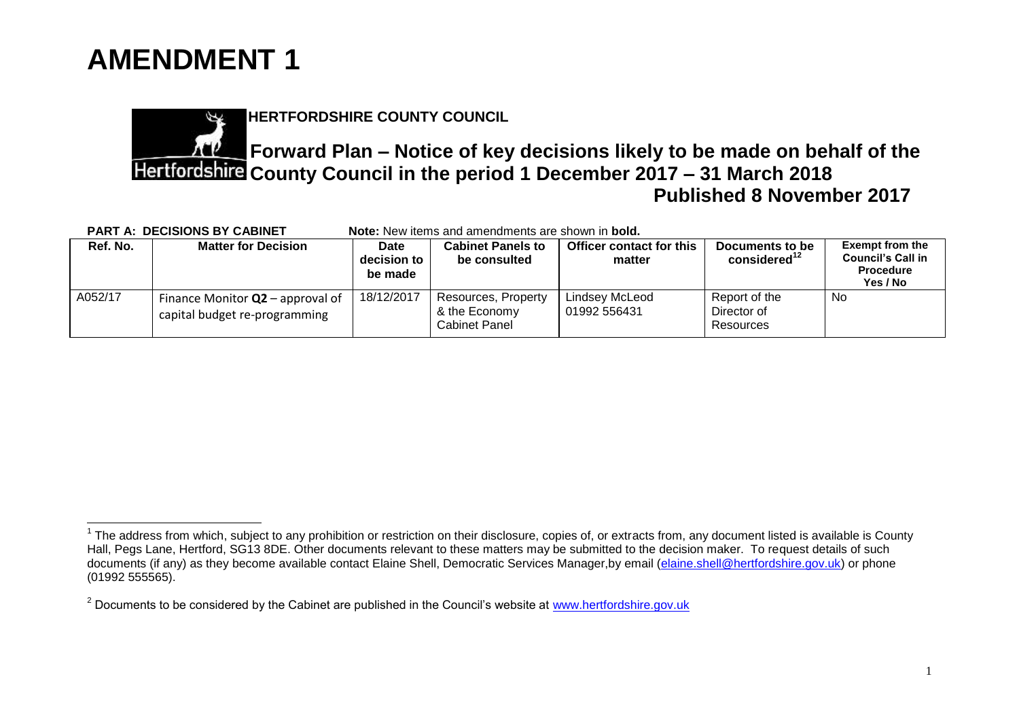

 $\overline{\phantom{a}}$ 

**HERTFORDSHIRE COUNTY COUNCIL**

## **Forward Plan – Notice of key decisions likely to be made on behalf of the County Council in the period 1 December 2017 – 31 March 2018 Published 8 November 2017**

| <b>PART A: DECISIONS BY CABINET</b><br><b>Note:</b> New items and amendments are shown in <b>bold.</b> |                                                                     |                                |                                                              |                                    |                                             |                                                                                    |  |  |  |
|--------------------------------------------------------------------------------------------------------|---------------------------------------------------------------------|--------------------------------|--------------------------------------------------------------|------------------------------------|---------------------------------------------|------------------------------------------------------------------------------------|--|--|--|
| Ref. No.                                                                                               | <b>Matter for Decision</b>                                          | Date<br>decision to<br>be made | <b>Cabinet Panels to</b><br>be consulted                     | Officer contact for this<br>matter | Documents to be<br>considered <sup>12</sup> | <b>Exempt from the</b><br><b>Council's Call in</b><br><b>Procedure</b><br>Yes / No |  |  |  |
| A052/17                                                                                                | Finance Monitor $Q2$ – approval of<br>capital budget re-programming | 18/12/2017                     | Resources, Property<br>& the Economy<br><b>Cabinet Panel</b> | Lindsey McLeod<br>01992 556431     | Report of the<br>Director of<br>Resources   | No                                                                                 |  |  |  |

 $1$  The address from which, subject to any prohibition or restriction on their disclosure, copies of, or extracts from, any document listed is available is County Hall, Pegs Lane, Hertford, SG13 8DE. Other documents relevant to these matters may be submitted to the decision maker. To request details of such documents (if any) as they become available contact Elaine Shell, Democratic Services Manager, by email (elaine shell@hertfordshire.gov.uk) or phone (01992 555565).

 $2$  Documents to be considered by the Cabinet are published in the Council's website at [www.hertfordshire.gov.uk](https://cmis.hertfordshire.gov.uk/hertfordshire/ForwardPlanofKeyDecisions/tabid/68/FolderID/16/Forward-Plans-2017.aspx)